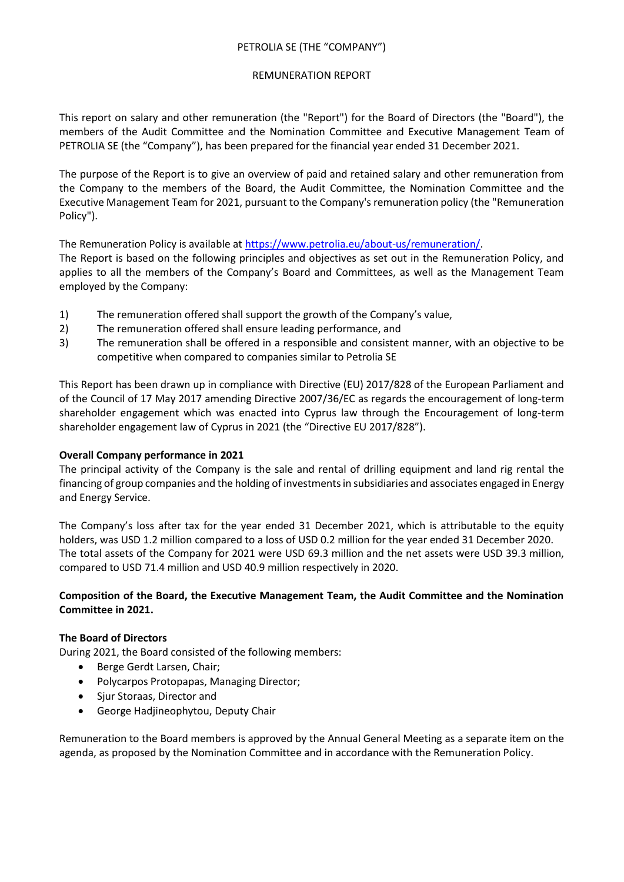# PETROLIA SE (THE "COMPANY")

### REMUNERATION REPORT

This report on salary and other remuneration (the "Report") for the Board of Directors (the "Board"), the members of the Audit Committee and the Nomination Committee and Executive Management Team of PETROLIA SE (the "Company"), has been prepared for the financial year ended 31 December 2021.

The purpose of the Report is to give an overview of paid and retained salary and other remuneration from the Company to the members of the Board, the Audit Committee, the Nomination Committee and the Executive Management Team for 2021, pursuant to the Company's remuneration policy (the "Remuneration Policy").

The Remuneration Policy is available at [https://www.petrolia.eu/about-us/remuneration/.](https://www.petrolia.eu/about-us/remuneration/)

The Report is based on the following principles and objectives as set out in the Remuneration Policy, and applies to all the members of the Company's Board and Committees, as well as the Management Team employed by the Company:

- 1) The remuneration offered shall support the growth of the Company's value,
- 2) The remuneration offered shall ensure leading performance, and
- 3) The remuneration shall be offered in a responsible and consistent manner, with an objective to be competitive when compared to companies similar to Petrolia SE

This Report has been drawn up in compliance with Directive (EU) 2017/828 of the European Parliament and of the Council of 17 May 2017 amending Directive 2007/36/EC as regards the encouragement of long-term shareholder engagement which was enacted into Cyprus law through the Encouragement of long-term shareholder engagement law of Cyprus in 2021 (the "Directive EU 2017/828").

# **Overall Company performance in 2021**

The principal activity of the Company is the sale and rental of drilling equipment and land rig rental the financing of group companies and the holding of investments in subsidiaries and associates engaged in Energy and Energy Service.

The Company's loss after tax for the year ended 31 December 2021, which is attributable to the equity holders, was USD 1.2 million compared to a loss of USD 0.2 million for the year ended 31 December 2020. The total assets of the Company for 2021 were USD 69.3 million and the net assets were USD 39.3 million, compared to USD 71.4 million and USD 40.9 million respectively in 2020.

# **Composition of the Board, the Executive Management Team, the Audit Committee and the Nomination Committee in 2021.**

# **The Board of Directors**

During 2021, the Board consisted of the following members:

- Berge Gerdt Larsen, Chair;
- Polycarpos Protopapas, Managing Director;
- Sjur Storaas, Director and
- George Hadjineophytou, Deputy Chair

Remuneration to the Board members is approved by the Annual General Meeting as a separate item on the agenda, as proposed by the Nomination Committee and in accordance with the Remuneration Policy.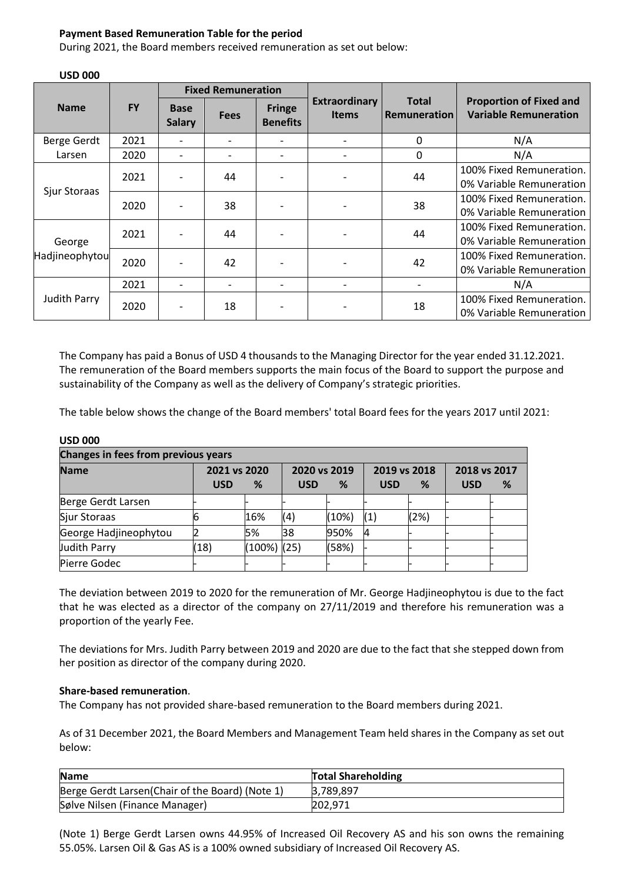### **Payment Based Remuneration Table for the period**

During 2021, the Board members received remuneration as set out below:

|                          |           | <b>Fixed Remuneration</b>    |                          |                                  |                                      |                                     |                                                                |  |
|--------------------------|-----------|------------------------------|--------------------------|----------------------------------|--------------------------------------|-------------------------------------|----------------------------------------------------------------|--|
| <b>Name</b>              | <b>FY</b> | <b>Base</b><br><b>Salary</b> | <b>Fees</b>              | <b>Fringe</b><br><b>Benefits</b> | <b>Extraordinary</b><br><b>Items</b> | <b>Total</b><br><b>Remuneration</b> | <b>Proportion of Fixed and</b><br><b>Variable Remuneration</b> |  |
| Berge Gerdt              | 2021      |                              | $\overline{\phantom{0}}$ |                                  |                                      | 0                                   | N/A                                                            |  |
| Larsen                   | 2020      |                              |                          |                                  |                                      | 0                                   | N/A                                                            |  |
| Sjur Storaas             | 2021      |                              | 44                       |                                  |                                      | 44                                  | 100% Fixed Remuneration.<br>0% Variable Remuneration           |  |
|                          | 2020      |                              | 38                       |                                  |                                      | 38                                  | 100% Fixed Remuneration.<br>0% Variable Remuneration           |  |
| George<br>Hadjineophytou | 2021      |                              | 44                       |                                  |                                      | 44                                  | 100% Fixed Remuneration.<br>0% Variable Remuneration           |  |
|                          | 2020      |                              | 42                       |                                  |                                      | 42                                  | 100% Fixed Remuneration.<br>0% Variable Remuneration           |  |
|                          | 2021      |                              | $\overline{\phantom{0}}$ |                                  |                                      |                                     | N/A                                                            |  |
| Judith Parry             | 2020      |                              | 18                       |                                  |                                      | 18                                  | 100% Fixed Remuneration.<br>0% Variable Remuneration           |  |

# **USD 000**

The Company has paid a Bonus of USD 4 thousands to the Managing Director for the year ended 31.12.2021. The remuneration of the Board members supports the main focus of the Board to support the purpose and sustainability of the Company as well as the delivery of Company's strategic priorities.

The table below shows the change of the Board members' total Board fees for the years 2017 until 2021:

| Changes in fees from previous years |              |                |              |       |              |      |              |   |  |  |
|-------------------------------------|--------------|----------------|--------------|-------|--------------|------|--------------|---|--|--|
| <b>Name</b>                         | 2021 vs 2020 |                | 2020 vs 2019 |       | 2019 vs 2018 |      | 2018 vs 2017 |   |  |  |
|                                     | <b>USD</b>   | %              | <b>USD</b>   | %     | <b>USD</b>   | %    | <b>USD</b>   | % |  |  |
| Berge Gerdt Larsen                  |              |                |              |       |              |      |              |   |  |  |
| Sjur Storaas                        | 6            | 16%            | (4)          | (10%) | (1)          | (2%) |              |   |  |  |
| George Hadjineophytou               |              | 5%             | 38           | 950%  | 14           |      |              |   |  |  |
| Judith Parry                        | (18)         | $(100\%)$ (25) |              | (58%) |              |      |              |   |  |  |
| Pierre Godec                        |              |                |              |       |              |      |              |   |  |  |

#### **USD 000**

The deviation between 2019 to 2020 for the remuneration of Mr. George Hadjineophytou is due to the fact that he was elected as a director of the company on 27/11/2019 and therefore his remuneration was a proportion of the yearly Fee.

The deviations for Mrs. Judith Parry between 2019 and 2020 are due to the fact that she stepped down from her position as director of the company during 2020.

### **Share-based remuneration**.

The Company has not provided share-based remuneration to the Board members during 2021.

As of 31 December 2021, the Board Members and Management Team held shares in the Company as set out below:

| <b>Name</b>                                      | <b>Total Shareholding</b> |
|--------------------------------------------------|---------------------------|
| Berge Gerdt Larsen (Chair of the Board) (Note 1) | 3.789.897                 |
| Sølve Nilsen (Finance Manager)                   | 202,971                   |

(Note 1) Berge Gerdt Larsen owns 44.95% of Increased Oil Recovery AS and his son owns the remaining 55.05%. Larsen Oil & Gas AS is a 100% owned subsidiary of Increased Oil Recovery AS.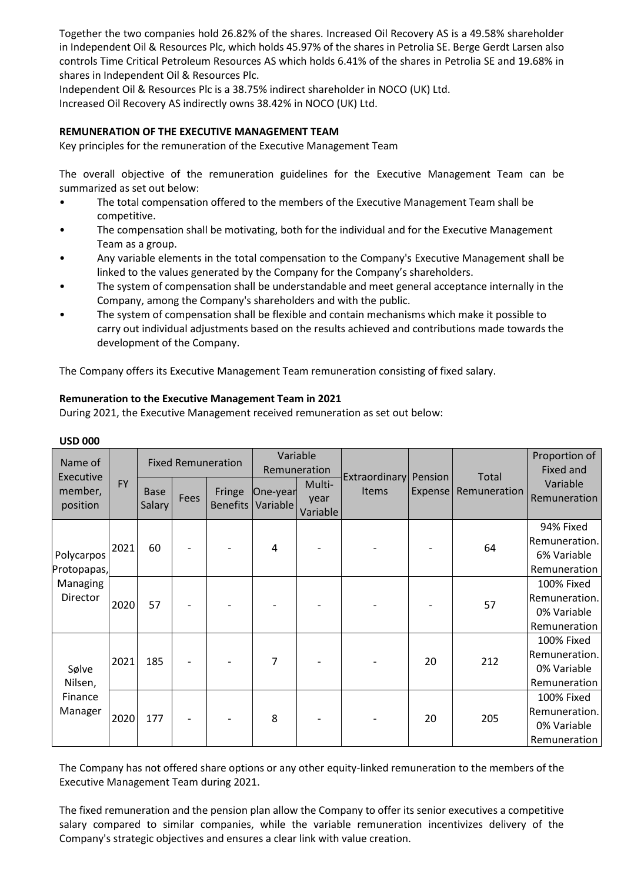Together the two companies hold 26.82% of the shares. Increased Oil Recovery AS is a 49.58% shareholder in Independent Oil & Resources Plc, which holds 45.97% of the shares in Petrolia SE. Berge Gerdt Larsen also controls Time Critical Petroleum Resources AS which holds 6.41% of the shares in Petrolia SE and 19.68% in shares in Independent Oil & Resources Plc.

Independent Oil & Resources Plc is a 38.75% indirect shareholder in NOCO (UK) Ltd. Increased Oil Recovery AS indirectly owns 38.42% in NOCO (UK) Ltd.

# **REMUNERATION OF THE EXECUTIVE MANAGEMENT TEAM**

Key principles for the remuneration of the Executive Management Team

The overall objective of the remuneration guidelines for the Executive Management Team can be summarized as set out below:

- The total compensation offered to the members of the Executive Management Team shall be competitive.
- The compensation shall be motivating, both for the individual and for the Executive Management Team as a group.
- Any variable elements in the total compensation to the Company's Executive Management shall be linked to the values generated by the Company for the Company's shareholders.
- The system of compensation shall be understandable and meet general acceptance internally in the Company, among the Company's shareholders and with the public.
- The system of compensation shall be flexible and contain mechanisms which make it possible to carry out individual adjustments based on the results achieved and contributions made towards the development of the Company.

The Company offers its Executive Management Team remuneration consisting of fixed salary.

### **Remuneration to the Executive Management Team in 2021**

During 2021, the Executive Management received remuneration as set out below:

| Name of<br>Executive                              |           | <b>Fixed Remuneration</b>    |      |                           | Variable<br>Remuneration |                            | Extraordinary | Pension | Total        | Proportion of<br>Fixed and |
|---------------------------------------------------|-----------|------------------------------|------|---------------------------|--------------------------|----------------------------|---------------|---------|--------------|----------------------------|
| member,<br>position                               | <b>FY</b> | <b>Base</b><br><b>Salary</b> | Fees | Fringe<br><b>Benefits</b> | One-year<br>Variable     | Multi-<br>year<br>Variable | Items         | Expense | Remuneration | Variable<br>Remuneration   |
|                                                   |           |                              |      |                           |                          |                            |               |         |              | 94% Fixed                  |
|                                                   | 2021      | 60                           |      |                           | 4                        |                            |               |         | 64           | Remuneration.              |
| Polycarpos<br>Protopapas,<br>Managing<br>Director |           |                              |      |                           |                          |                            |               |         |              | 6% Variable                |
|                                                   |           |                              |      |                           |                          |                            |               |         |              | Remuneration               |
|                                                   | 2020      | 57                           |      |                           |                          |                            |               |         | 57           | 100% Fixed                 |
|                                                   |           |                              |      |                           |                          |                            |               |         |              | Remuneration.              |
|                                                   |           |                              |      |                           |                          |                            |               |         |              | 0% Variable                |
|                                                   |           |                              |      |                           |                          |                            |               |         |              | Remuneration               |
|                                                   |           |                              |      |                           |                          |                            |               |         |              | 100% Fixed                 |
|                                                   | 2021      | 185                          |      |                           | 7                        |                            |               | 20      | 212          | Remuneration.              |
| Sølve                                             |           |                              |      |                           |                          |                            |               |         |              | 0% Variable                |
| Nilsen,<br>Finance<br>Manager                     |           |                              |      |                           |                          |                            |               |         |              | Remuneration               |
|                                                   | 2020      | 177                          |      |                           | 8                        |                            |               | 20      | 205          | 100% Fixed                 |
|                                                   |           |                              | -    |                           |                          |                            |               |         |              | Remuneration.              |
|                                                   |           |                              |      |                           |                          |                            |               |         |              | 0% Variable                |
|                                                   |           |                              |      |                           |                          |                            |               |         |              | Remuneration               |

### **USD 000**

The Company has not offered share options or any other equity-linked remuneration to the members of the Executive Management Team during 2021.

The fixed remuneration and the pension plan allow the Company to offer its senior executives a competitive salary compared to similar companies, while the variable remuneration incentivizes delivery of the Company's strategic objectives and ensures a clear link with value creation.